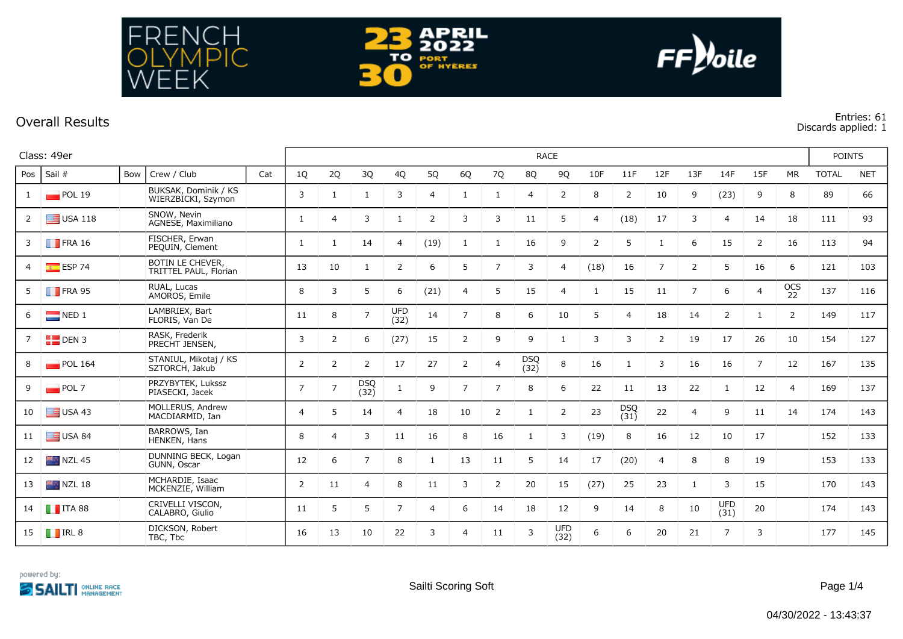



## **Overall Results Entries: 61**

NCH

FFK

ΡIС

RE

**Discards applied: 1**

|                | Class: 49er                                                         |     |                                            |     |                 | <b>RACE</b>    |                    |                    |                |                |                |                    |                    |      |                    |                |                |                    |                |                | <b>POINTS</b> |            |  |
|----------------|---------------------------------------------------------------------|-----|--------------------------------------------|-----|-----------------|----------------|--------------------|--------------------|----------------|----------------|----------------|--------------------|--------------------|------|--------------------|----------------|----------------|--------------------|----------------|----------------|---------------|------------|--|
| Pos            | Sail #                                                              | Bow | Crew / Club                                | Cat | 10 <sup>°</sup> | 2Q             | 3Q                 | 4Q                 | 5Q             | 6Q             | 7Q             | 8Q                 | 9Q                 | 10F  | 11F                | 12F            | 13F            | 14F                | 15F            | <b>MR</b>      | <b>TOTAL</b>  | <b>NET</b> |  |
| -1             | POL 19                                                              |     | BUKSAK, Dominik / KS<br>WIERZBICKI, Szymon |     | 3               |                | $\mathbf{1}$       | 3                  | $\overline{4}$ | $\mathbf{1}$   |                | $\overline{4}$     | 2                  | 8    | 2                  | 10             | 9              | (23)               | 9              | 8              | 89            | 66         |  |
| 2              | $\Box$ USA 118                                                      |     | SNOW, Nevin<br>AGNESE, Maximiliano         |     | 1               | $\overline{4}$ | 3                  | 1                  | 2              | 3              | 3              | 11                 | 5                  | 4    | (18)               | 17             | 3              | $\overline{4}$     | 14             | 18             | 111           | 93         |  |
| 3              | $\blacksquare$ FRA 16                                               |     | FISCHER, Erwan<br>PEQUIN, Clement          |     | 1               | 1              | 14                 | $\overline{4}$     | (19)           | 1              | 1              | 16                 | 9                  | 2    | 5                  | $\mathbf{1}$   | 6              | 15                 | $\overline{2}$ | 16             | 113           | 94         |  |
| 4              | $E = ESP$ 74                                                        |     | BOTIN LE CHEVER,<br>TRITTEL PAUL, Florian  |     | 13              | 10             | $\mathbf{1}$       | $\overline{2}$     | 6              | 5              | $\overline{7}$ | 3                  | 4                  | (18) | 16                 | $\overline{7}$ | $\overline{2}$ | 5                  | 16             | 6              | 121           | 103        |  |
| 5              | $\blacksquare$ FRA 95                                               |     | RUAL, Lucas<br>AMOROS, Emile               |     | 8               | 3              | 5                  | 6                  | (21)           | $\overline{4}$ | 5              | 15                 | 4                  |      | 15                 | 11             | $\overline{7}$ | 6                  | 4              | OCS<br>22      | 137           | 116        |  |
| 6              | $\blacksquare$ NED 1                                                |     | LAMBRIEX, Bart<br>FLORIS, Van De           |     | 11              | 8              | $\overline{7}$     | <b>UFD</b><br>(32) | 14             | $\overline{7}$ | 8              | 6                  | 10                 | 5    | $\overline{4}$     | 18             | 14             | $\overline{2}$     | 1              | $\overline{2}$ | 149           | 117        |  |
| $\overline{7}$ | $\begin{array}{ c c c }\n\hline\n\hline\n\hline\n\end{array}$ DEN 3 |     | RASK, Frederik<br>PRECHT JENSEN,           |     | 3               | 2              | 6                  | (27)               | 15             | 2              | 9              | 9                  | -1                 | 3    | 3                  | 2              | 19             | 17                 | 26             | 10             | 154           | 127        |  |
| 8              | POL 164                                                             |     | STANIUL, Mikotaj / KS<br>SZTORCH, Jakub    |     | $\overline{2}$  | $\overline{2}$ | $\overline{2}$     | 17                 | 27             | $\overline{2}$ | $\overline{4}$ | <b>DSQ</b><br>(32) | 8                  | 16   | 1                  | 3              | 16             | 16                 | $\overline{7}$ | 12             | 167           | 135        |  |
| 9              | POL7                                                                |     | PRZYBYTEK, Lukssz<br>PIASECKI, Jacek       |     | $\overline{7}$  | $\overline{7}$ | <b>DSQ</b><br>(32) | 1                  | 9              | $\overline{7}$ | $\overline{7}$ | 8                  | 6                  | 22   | 11                 | 13             | 22             | -1                 | 12             | $\overline{4}$ | 169           | 137        |  |
| 10             | $\equiv$ USA 43                                                     |     | MOLLERUS, Andrew<br>MACDIARMID, Ian        |     | 4               | 5              | 14                 | $\overline{4}$     | 18             | 10             | $\overline{2}$ | $\mathbf{1}$       | $\overline{2}$     | 23   | <b>DSQ</b><br>(31) | 22             | 4              | 9                  | 11             | 14             | 174           | 143        |  |
| 11             | $\equiv$ USA 84                                                     |     | BARROWS, Ian<br>HENKEN, Hans               |     | 8               | $\overline{4}$ | 3                  | 11                 | 16             | 8              | 16             | $\mathbf{1}$       | 3                  | (19) | 8                  | 16             | 12             | 10                 | 17             |                | 152           | 133        |  |
| 12             | $NZL$ 45                                                            |     | DUNNING BECK, Logan<br>GUNN, Oscar         |     | 12              | 6              | $\overline{7}$     | 8                  | $\mathbf{1}$   | 13             | 11             | 5                  | 14                 | 17   | (20)               | $\overline{4}$ | 8              | 8                  | 19             |                | 153           | 133        |  |
| 13             | $NZL$ 18                                                            |     | MCHARDIE, Isaac<br>MCKENZIE, William       |     | $\overline{2}$  | 11             | 4                  | 8                  | 11             | 3              | 2              | 20                 | 15                 | (27) | 25                 | 23             | $\mathbf{1}$   | 3                  | 15             |                | 170           | 143        |  |
| 14             | $\blacksquare$ ITA 88                                               |     | CRIVELLI VISCON,<br>CALABRO, Giulio        |     | 11              | 5              | 5                  | $\overline{7}$     | $\overline{4}$ | 6              | 14             | 18                 | 12                 | 9    | 14                 | 8              | 10             | <b>UFD</b><br>(31) | 20             |                | 174           | 143        |  |
| 15             | $\blacksquare$ IRL 8                                                |     | DICKSON, Robert<br>TBC, Tbc                |     | 16              | 13             | 10                 | 22                 | 3              | $\overline{4}$ | 11             | 3                  | <b>UFD</b><br>(32) | 6    | 6                  | 20             | 21             | $\overline{7}$     | 3              |                | 177           | 145        |  |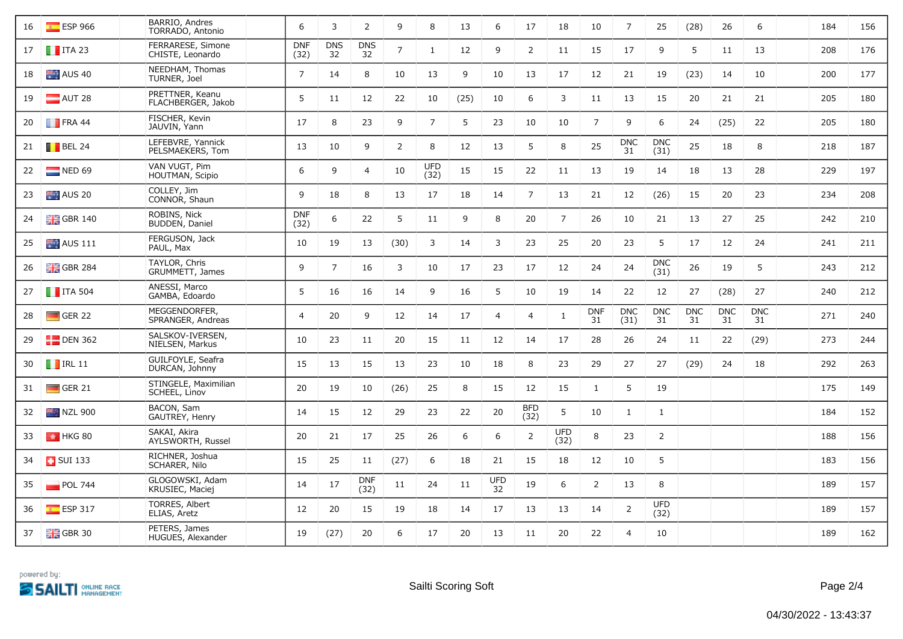| 16 | $E$ ESP 966              | BARRIO, Andres<br>TORRADO, Antonio    | 6                  | 3                | $\overline{2}$     | 9              | 8                  | 13   | 6                | 17                 | 18                 | 10               | $\overline{7}$     | 25                 | (28)             | 26               | 6                | 184 | 156 |
|----|--------------------------|---------------------------------------|--------------------|------------------|--------------------|----------------|--------------------|------|------------------|--------------------|--------------------|------------------|--------------------|--------------------|------------------|------------------|------------------|-----|-----|
| 17 | $\blacksquare$ ITA 23    | FERRARESE, Simone<br>CHISTE, Leonardo | <b>DNF</b><br>(32) | <b>DNS</b><br>32 | <b>DNS</b><br>32   | $\overline{7}$ | 1                  | 12   | 9                | $\overline{2}$     | 11                 | 15               | 17                 | 9                  | 5                | 11               | 13               | 208 | 176 |
| 18 | $\blacksquare$ AUS 40    | NEEDHAM, Thomas<br>TURNER, Joel       | $\overline{7}$     | 14               | 8                  | 10             | 13                 | 9    | 10               | 13                 | 17                 | 12               | 21                 | 19                 | (23)             | 14               | 10               | 200 | 177 |
| 19 | $\blacksquare$ AUT 28    | PRETTNER, Keanu<br>FLACHBERGER, Jakob | 5                  | 11               | 12                 | 22             | 10                 | (25) | 10               | 6                  | 3                  | 11               | 13                 | 15                 | 20               | 21               | 21               | 205 | 180 |
| 20 | $\blacksquare$ FRA 44    | FISCHER, Kevin<br>JAUVIN, Yann        | 17                 | 8                | 23                 | 9              | $\overline{7}$     | 5    | 23               | 10                 | 10                 | $\overline{7}$   | 9                  | 6                  | 24               | (25)             | 22               | 205 | 180 |
| 21 | $\blacksquare$ BEL 24    | LEFEBVRE, Yannick<br>PELSMAEKERS, Tom | 13                 | 10               | 9                  | 2              | 8                  | 12   | 13               | 5                  | 8                  | 25               | <b>DNC</b><br>31   | <b>DNC</b><br>(31) | 25               | 18               | 8                | 218 | 187 |
| 22 | $NED$ 69                 | VAN VUGT, Pim<br>HOUTMAN, Scipio      | 6                  | 9                | 4                  | 10             | <b>UFD</b><br>(32) | 15   | 15               | 22                 | 11                 | 13               | 19                 | 14                 | 18               | 13               | 28               | 229 | 197 |
| 23 | $\blacksquare$ AUS 20    | COLLEY, Jim<br>CONNOR, Shaun          | 9                  | 18               | 8                  | 13             | 17                 | 18   | 14               | $\overline{7}$     | 13                 | 21               | 12                 | (26)               | 15               | 20               | 23               | 234 | 208 |
| 24 | $\frac{10}{100}$ GBR 140 | ROBINS, Nick<br>BUDDEN, Daniel        | <b>DNF</b><br>(32) | 6                | 22                 | 5 <sup>5</sup> | 11                 | 9    | 8                | 20                 | $\overline{7}$     | 26               | 10                 | 21                 | 13               | 27               | 25               | 242 | 210 |
| 25 | $\blacksquare$ AUS 111   | FERGUSON, Jack<br>PAUL, Max           | 10                 | 19               | 13                 | (30)           | 3                  | 14   | 3                | 23                 | 25                 | 20               | 23                 | 5                  | 17               | 12               | 24               | 241 | 211 |
| 26 | $GBR$ 284                | TAYLOR, Chris<br>GRUMMETT, James      | 9                  | $\overline{7}$   | 16                 | 3              | 10                 | 17   | 23               | 17                 | 12                 | 24               | 24                 | <b>DNC</b><br>(31) | 26               | 19               | 5                | 243 | 212 |
| 27 | $\blacksquare$ ITA 504   | ANESSI, Marco<br>GAMBA, Edoardo       | 5                  | 16               | 16                 | 14             | 9                  | 16   | 5                | 10                 | 19                 | 14               | 22                 | 12                 | 27               | (28)             | 27               | 240 | 212 |
| 28 | $\blacksquare$ GER 22    | MEGGENDORFER,<br>SPRANGER, Andreas    | $\overline{4}$     | 20               | 9                  | 12             | 14                 | 17   | $\overline{4}$   | $\overline{4}$     | $\mathbf{1}$       | <b>DNF</b><br>31 | <b>DNC</b><br>(31) | <b>DNC</b><br>31   | <b>DNC</b><br>31 | <b>DNC</b><br>31 | <b>DNC</b><br>31 | 271 | 240 |
| 29 | $E$ DEN 362              | SALSKOV-IVERSEN,<br>NIELSEN, Markus   | 10                 | 23               | 11                 | 20             | 15                 | 11   | 12               | 14                 | 17                 | 28               | 26                 | 24                 | 11               | 22               | (29)             | 273 | 244 |
| 30 | $\blacksquare$ IRL 11    | GUILFOYLE, Seafra<br>DURCAN, Johnny   | 15                 | 13               | 15                 | 13             | 23                 | 10   | 18               | 8                  | 23                 | 29               | 27                 | 27                 | (29)             | 24               | 18               | 292 | 263 |
| 31 | $\Box$ GER 21            | STINGELE, Maximilian<br>SCHEEL, Linov | 20                 | 19               | 10                 | (26)           | 25                 | 8    | 15               | 12                 | 15                 | 1                | 5                  | 19                 |                  |                  |                  | 175 | 149 |
| 32 | <b>NZL 900</b>           | BACON, Sam<br>GAUTREY, Henry          | 14                 | 15               | $12 \overline{ }$  | 29             | 23                 | 22   | 20               | <b>BFD</b><br>(32) | 5                  | 10               | $\mathbf{1}$       | $\mathbf{1}$       |                  |                  |                  | 184 | 152 |
| 33 | $\parallel$ 4 HKG 80     | SAKAI, Akira<br>AYLSWORTH, Russel     | 20                 | 21               | 17                 | 25             | 26                 | 6    | 6                | $\overline{2}$     | <b>UFD</b><br>(32) | 8                | 23                 | $\overline{2}$     |                  |                  |                  | 188 | 156 |
| 34 | $\Box$ SUI 133           | RICHNER, Joshua<br>SCHARER, Nilo      | 15                 | 25               | 11                 | (27)           | 6                  | 18   | 21               | 15                 | 18                 | 12               | 10                 | 5                  |                  |                  |                  | 183 | 156 |
| 35 | $\blacksquare$ POL 744   | GLOGOWSKI, Adam<br>KRUSIEC, Maciej    | 14                 | 17               | <b>DNF</b><br>(32) | 11             | 24                 | 11   | <b>UFD</b><br>32 | 19                 | 6                  | 2                | 13                 | 8                  |                  |                  |                  | 189 | 157 |
| 36 | $E = ESP 317$            | TORRES, Albert<br>ELIAS, Aretz        | 12                 | 20               | 15                 | 19             | 18                 | 14   | 17               | 13                 | 13                 | 14               | 2                  | <b>UFD</b><br>(32) |                  |                  |                  | 189 | 157 |
| 37 | <b>H</b> GBR 30          | PETERS, James<br>HUGUES, Alexander    | 19                 | (27)             | 20                 | 6              | 17                 | 20   | 13               | 11                 | 20                 | 22               | $\overline{4}$     | 10                 |                  |                  |                  | 189 | 162 |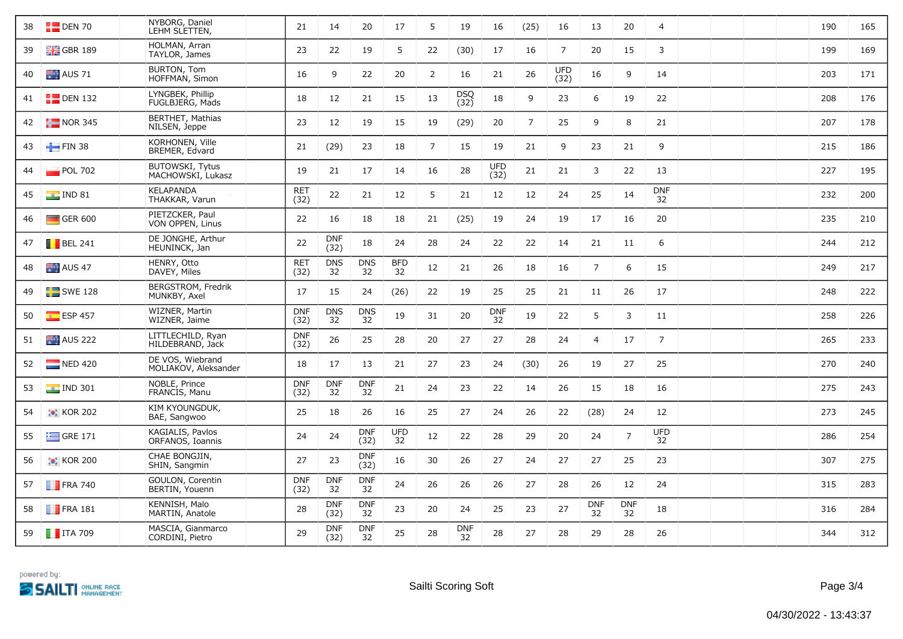| 38 | $E$ DEN 70             | NYBORG, Daniel<br>LEHM SLETTEN,             | 21                 | 14                 | 20                 | 17                            | 5              | 19               | 16                 | (25)           | 16                 | 13               | 20               | 4                |  | 190 | 165 |
|----|------------------------|---------------------------------------------|--------------------|--------------------|--------------------|-------------------------------|----------------|------------------|--------------------|----------------|--------------------|------------------|------------------|------------------|--|-----|-----|
| 39 | $\frac{1}{2}$ GBR 189  | HOLMAN, Arran<br>TAYLOR, James              | 23                 | 22                 | 19                 | 5                             | 22             | (30)             | 17                 | 16             | $\overline{7}$     | 20               | 15               | 3                |  | 199 | 169 |
| 40 | AUS 71                 | BURTON, Tom<br>HOFFMAN, Simon               | 16                 | 9                  | 22                 | 20                            | 2              | 16               | 21                 | 26             | <b>UFD</b><br>(32) | 16               | 9                | 14               |  | 203 | 171 |
| 41 | $\Box$ DEN 132         | LYNGBEK, Phillip<br>FUGLBJERG, Mads         | 18                 | 12                 | 21                 | 15                            | 13             | DSQ<br>(32)      | 18                 | 9              | 23                 | 6                | 19               | 22               |  | 208 | 176 |
| 42 | $\frac{1}{2}$ NOR 345  | BERTHET, Mathias<br>NILSEN, Jeppe           | 23                 | 12                 | 19                 | 15                            | 19             | (29)             | 20                 | $\overline{7}$ | 25                 | 9                | 8                | 21               |  | 207 | 178 |
| 43 | $\blacksquare$ FIN 38  | KORHONEN, Ville<br>BREMER, Edvard           | 21                 | (29)               | 23                 | 18                            | $\overline{7}$ | 15               | 19                 | 21             | 9                  | 23               | 21               | 9                |  | 215 | 186 |
| 44 | $POL$ 702              | <b>BUTOWSKI, Tytus</b><br>MACHOWSKI, Lukasz | 19                 | 21                 | 17                 | 14                            | 16             | 28               | <b>UFD</b><br>(32) | 21             | 21                 | $\mathbf{3}$     | 22               | 13               |  | 227 | 195 |
| 45 | $\blacksquare$ IND 81  | <b>KELAPANDA</b><br>THAKKAR, Varun          | RET<br>(32)        | 22                 | 21                 | 12                            | 5              | 21               | 12                 | 12             | 24                 | 25               | 14               | <b>DNF</b><br>32 |  | 232 | 200 |
| 46 | $\Box$ GER 600         | PIETZCKER, Paul<br>VON OPPEN, Linus         | 22                 | 16                 | 18                 | 18                            | 21             | (25)             | 19                 | 24             | 19                 | 17               | 16               | 20               |  | 235 | 210 |
| 47 | $\blacksquare$ BEL 241 | DE JONGHE, Arthur<br>HEUNINCK, Jan          | 22                 | <b>DNF</b><br>(32) | 18                 | 24                            | 28             | 24               | 22                 | 22             | 14                 | 21               | 11               | 6                |  | 244 | 212 |
| 48 | AUS 47                 | HENRY, Otto<br>DAVEY, Miles                 | <b>RET</b><br>(32) | <b>DNS</b><br>32   | <b>DNS</b><br>32   | <b>BFD</b><br>$\overline{32}$ | 12             | 21               | 26                 | 18             | 16                 | $\overline{7}$   | 6                | 15               |  | 249 | 217 |
| 49 | $SWE$ 128              | BERGSTROM, Fredrik<br>MUNKBY, Axel          | 17                 | 15                 | 24                 | (26)                          | 22             | 19               | 25                 | 25             | 21                 | 11               | 26               | 17               |  | 248 | 222 |
| 50 | $E = ESP 457$          | WIZNER, Martin<br>WIZNER, Jaime             | <b>DNF</b><br>(32) | <b>DNS</b><br>32   | <b>DNS</b><br>32   | 19                            | 31             | 20               | <b>DNF</b><br>32   | 19             | 22                 | 5                | 3                | 11               |  | 258 | 226 |
| 51 | AUS 222                | LITTLECHILD, Ryan<br>HILDEBRAND, Jack       | <b>DNF</b><br>(32) | 26                 | 25                 | 28                            | 20             | 27               | 27                 | 28             | 24                 | $\overline{4}$   | 17               | $7\overline{ }$  |  | 265 | 233 |
| 52 | $\blacksquare$ NED 420 | DE VOS, Wiebrand<br>MOLIAKOV, Aleksander    | 18                 | 17                 | 13                 | 21                            | 27             | 23               | 24                 | (30)           | 26                 | 19               | 27               | 25               |  | 270 | 240 |
| 53 | $\blacksquare$ IND 301 | NOBLE, Prince<br>FRANCIS, Manu              | <b>DNF</b><br>(32) | <b>DNF</b><br>32   | <b>DNF</b><br>32   | 21                            | 24             | 23               | 22                 | 14             | 26                 | 15               | 18               | 16               |  | 275 | 243 |
| 54 | $\bullet$ KOR 202      | KIM KYOUNGDUK,<br>BAE, Sangwoo              | 25                 | 18                 | 26                 | 16                            | 25             | 27               | 24                 | 26             | 22                 | (28)             | 24               | 12               |  | 273 | 245 |
| 55 | $\equiv$ GRE 171       | KAGIALIS, Pavlos<br>ORFANOS, Ioannis        | 24                 | 24                 | <b>DNF</b><br>(32) | <b>UFD</b><br>32              | 12             | 22               | 28                 | 29             | 20                 | 24               | $\overline{7}$   | <b>UFD</b><br>32 |  | 286 | 254 |
| 56 | $\bullet$ KOR 200      | CHAE BONGJIN,<br>SHIN, Sangmin              | 27                 | 23                 | <b>DNF</b><br>(32) | 16                            | 30             | 26               | 27                 | 24             | 27                 | 27               | 25               | 23               |  | 307 | 275 |
| 57 | $\blacksquare$ FRA 740 | GOULON, Corentin<br>BERTIN, Youenn          | <b>DNF</b><br>(32) | <b>DNF</b><br>32   | <b>DNF</b><br>32   | 24                            | 26             | 26               | 26                 | 27             | 28                 | 26               | 12               | 24               |  | 315 | 283 |
|    | 58 <b>FRA</b> 181      | KENNISH, Malo<br>MARTIN, Anatole            | 28                 | <b>DNF</b><br>(32) | <b>DNF</b><br>32   | 23                            | 20             | 24               | 25                 | 23             | 27                 | <b>DNF</b><br>32 | <b>DNF</b><br>32 | 18               |  | 316 | 284 |
|    | 59 <b>T</b> ITA 709    | MASCIA, Gianmarco<br>CORDINI, Pietro        | 29                 | <b>DNF</b><br>(32) | <b>DNF</b><br>32   | 25                            | 28             | <b>DNF</b><br>32 | 28                 | 27             | 28                 | 29               | 28               | 26               |  | 344 | 312 |